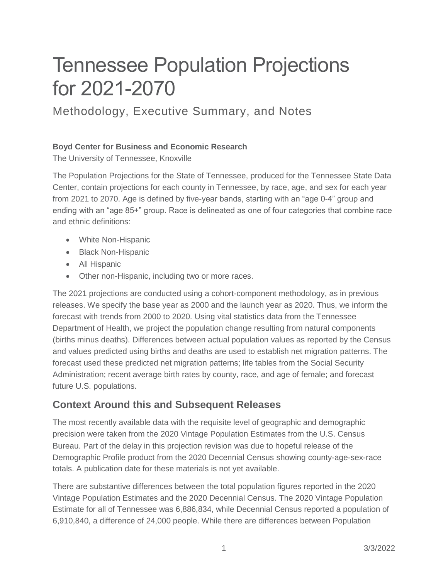# Tennessee Population Projections for 2021-2070

# Methodology, Executive Summary, and Notes

## **Boyd Center for Business and Economic Research**

The University of Tennessee, Knoxville

The Population Projections for the State of Tennessee, produced for the Tennessee State Data Center, contain projections for each county in Tennessee, by race, age, and sex for each year from 2021 to 2070. Age is defined by five-year bands, starting with an "age 0-4" group and ending with an "age 85+" group. Race is delineated as one of four categories that combine race and ethnic definitions:

- White Non-Hispanic
- Black Non-Hispanic
- All Hispanic
- Other non-Hispanic, including two or more races.

The 2021 projections are conducted using a cohort-component methodology, as in previous releases. We specify the base year as 2000 and the launch year as 2020. Thus, we inform the forecast with trends from 2000 to 2020. Using vital statistics data from the Tennessee Department of Health, we project the population change resulting from natural components (births minus deaths). Differences between actual population values as reported by the Census and values predicted using births and deaths are used to establish net migration patterns. The forecast used these predicted net migration patterns; life tables from the Social Security Administration; recent average birth rates by county, race, and age of female; and forecast future U.S. populations.

# **Context Around this and Subsequent Releases**

The most recently available data with the requisite level of geographic and demographic precision were taken from the 2020 Vintage Population Estimates from the U.S. Census Bureau. Part of the delay in this projection revision was due to hopeful release of the Demographic Profile product from the 2020 Decennial Census showing county-age-sex-race totals. A publication date for these materials is not yet available.

There are substantive differences between the total population figures reported in the 2020 Vintage Population Estimates and the 2020 Decennial Census. The 2020 Vintage Population Estimate for all of Tennessee was 6,886,834, while Decennial Census reported a population of 6,910,840, a difference of 24,000 people. While there are differences between Population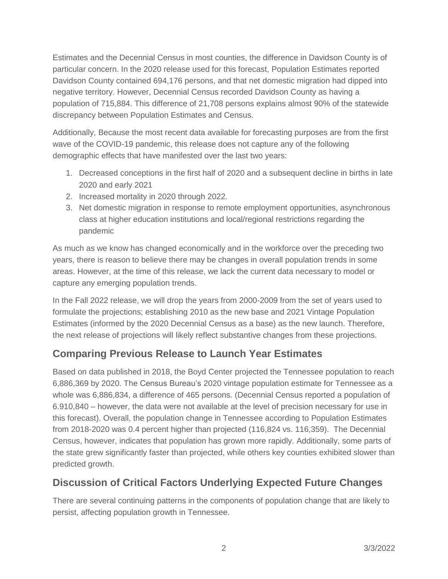Estimates and the Decennial Census in most counties, the difference in Davidson County is of particular concern. In the 2020 release used for this forecast, Population Estimates reported Davidson County contained 694,176 persons, and that net domestic migration had dipped into negative territory. However, Decennial Census recorded Davidson County as having a population of 715,884. This difference of 21,708 persons explains almost 90% of the statewide discrepancy between Population Estimates and Census.

Additionally, Because the most recent data available for forecasting purposes are from the first wave of the COVID-19 pandemic, this release does not capture any of the following demographic effects that have manifested over the last two years:

- 1. Decreased conceptions in the first half of 2020 and a subsequent decline in births in late 2020 and early 2021
- 2. Increased mortality in 2020 through 2022.
- 3. Net domestic migration in response to remote employment opportunities, asynchronous class at higher education institutions and local/regional restrictions regarding the pandemic

As much as we know has changed economically and in the workforce over the preceding two years, there is reason to believe there may be changes in overall population trends in some areas. However, at the time of this release, we lack the current data necessary to model or capture any emerging population trends.

In the Fall 2022 release, we will drop the years from 2000-2009 from the set of years used to formulate the projections; establishing 2010 as the new base and 2021 Vintage Population Estimates (informed by the 2020 Decennial Census as a base) as the new launch. Therefore, the next release of projections will likely reflect substantive changes from these projections.

# **Comparing Previous Release to Launch Year Estimates**

Based on data published in 2018, the Boyd Center projected the Tennessee population to reach 6,886,369 by 2020. The Census Bureau's 2020 vintage population estimate for Tennessee as a whole was 6,886,834, a difference of 465 persons. (Decennial Census reported a population of 6.910,840 – however, the data were not available at the level of precision necessary for use in this forecast). Overall, the population change in Tennessee according to Population Estimates from 2018-2020 was 0.4 percent higher than projected (116,824 vs. 116,359). The Decennial Census, however, indicates that population has grown more rapidly. Additionally, some parts of the state grew significantly faster than projected, while others key counties exhibited slower than predicted growth.

# **Discussion of Critical Factors Underlying Expected Future Changes**

There are several continuing patterns in the components of population change that are likely to persist, affecting population growth in Tennessee.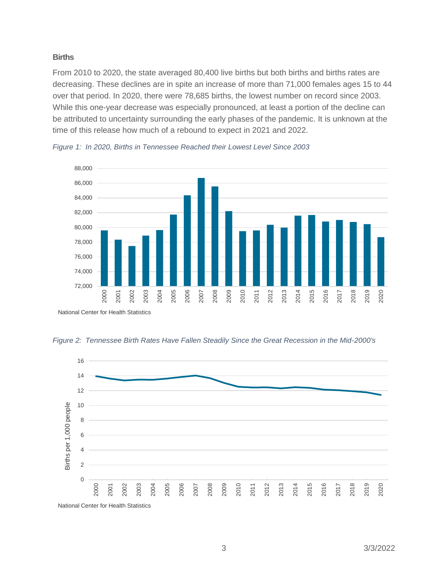#### **Births**

From 2010 to 2020, the state averaged 80,400 live births but both births and births rates are decreasing. These declines are in spite an increase of more than 71,000 females ages 15 to 44 over that period. In 2020, there were 78,685 births, the lowest number on record since 2003. While this one-year decrease was especially pronounced, at least a portion of the decline can be attributed to uncertainty surrounding the early phases of the pandemic. It is unknown at the time of this release how much of a rebound to expect in 2021 and 2022.



*Figure 1: In 2020, Births in Tennessee Reached their Lowest Level Since 2003*

*Figure 2: Tennessee Birth Rates Have Fallen Steadily Since the Great Recession in the Mid-2000's*

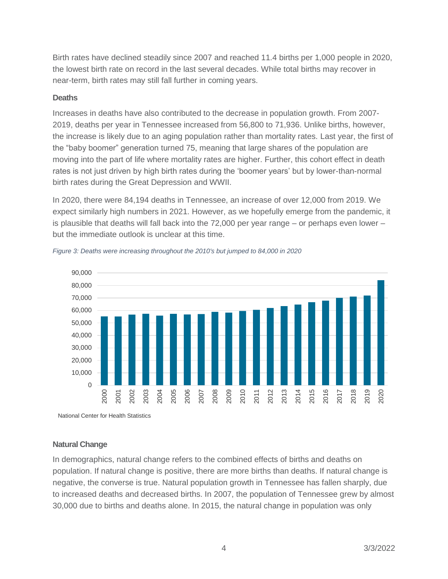Birth rates have declined steadily since 2007 and reached 11.4 births per 1,000 people in 2020, the lowest birth rate on record in the last several decades. While total births may recover in near-term, birth rates may still fall further in coming years.

#### **Deaths**

Increases in deaths have also contributed to the decrease in population growth. From 2007- 2019, deaths per year in Tennessee increased from 56,800 to 71,936. Unlike births, however, the increase is likely due to an aging population rather than mortality rates. Last year, the first of the "baby boomer" generation turned 75, meaning that large shares of the population are moving into the part of life where mortality rates are higher. Further, this cohort effect in death rates is not just driven by high birth rates during the 'boomer years' but by lower-than-normal birth rates during the Great Depression and WWII.

In 2020, there were 84,194 deaths in Tennessee, an increase of over 12,000 from 2019. We expect similarly high numbers in 2021. However, as we hopefully emerge from the pandemic, it is plausible that deaths will fall back into the 72,000 per year range – or perhaps even lower – but the immediate outlook is unclear at this time.





National Center for Health Statistics

## **Natural Change**

In demographics, natural change refers to the combined effects of births and deaths on population. If natural change is positive, there are more births than deaths. If natural change is negative, the converse is true. Natural population growth in Tennessee has fallen sharply, due to increased deaths and decreased births. In 2007, the population of Tennessee grew by almost 30,000 due to births and deaths alone. In 2015, the natural change in population was only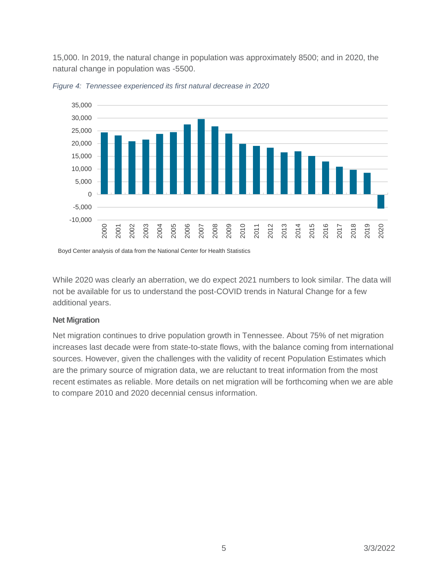15,000. In 2019, the natural change in population was approximately 8500; and in 2020, the natural change in population was -5500.





Boyd Center analysis of data from the National Center for Health Statistics

While 2020 was clearly an aberration, we do expect 2021 numbers to look similar. The data will not be available for us to understand the post-COVID trends in Natural Change for a few additional years.

#### **Net Migration**

Net migration continues to drive population growth in Tennessee. About 75% of net migration increases last decade were from state-to-state flows, with the balance coming from international sources. However, given the challenges with the validity of recent Population Estimates which are the primary source of migration data, we are reluctant to treat information from the most recent estimates as reliable. More details on net migration will be forthcoming when we are able to compare 2010 and 2020 decennial census information.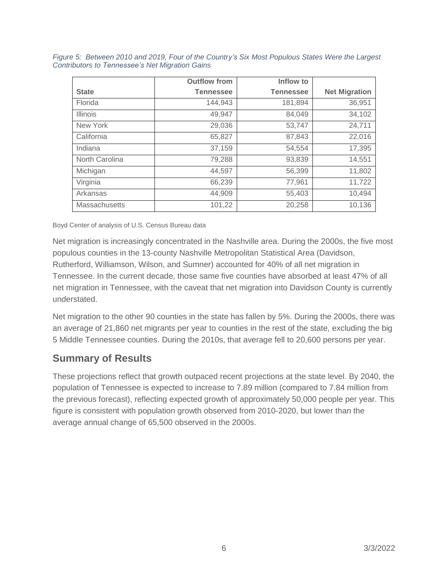|                 | <b>Outflow from</b> | Inflow to        |                      |
|-----------------|---------------------|------------------|----------------------|
| <b>State</b>    | <b>Tennessee</b>    | <b>Tennessee</b> | <b>Net Migration</b> |
| Florida         | 144,943             | 181,894          | 36,951               |
| <b>Illinois</b> | 49.947              | 84,049           | 34,102               |
| New York        | 29,036              | 53,747           | 24,711               |
| California      | 65,827              | 87,843           | 22,016               |
| Indiana         | 37,159              | 54,554           | 17,395               |
| North Carolina  | 79,288              | 93,839           | 14,551               |
| Michigan        | 44,597              | 56,399           | 11,802               |
| Virginia        | 66,239              | 77,961           | 11,722               |
| Arkansas        | 44,909              | 55.403           | 10,494               |
| Massachusetts   | 101,22              | 20,258           | 10,136               |

*Figure 5: Between 2010 and 2019, Four of the Country's Six Most Populous States Were the Largest Contributors to Tennessee's Net Migration Gains*

Boyd Center of analysis of U.S. Census Bureau data

Net migration is increasingly concentrated in the Nashville area. During the 2000s, the five most populous counties in the 13-county Nashville Metropolitan Statistical Area (Davidson, Rutherford, Williamson, Wilson, and Sumner) accounted for 40% of all net migration in Tennessee. In the current decade, those same five counties have absorbed at least 47% of all net migration in Tennessee, with the caveat that net migration into Davidson County is currently understated.

Net migration to the other 90 counties in the state has fallen by 5%. During the 2000s, there was an average of 21,860 net migrants per year to counties in the rest of the state, excluding the big 5 Middle Tennessee counties. During the 2010s, that average fell to 20,600 persons per year.

# **Summary of Results**

These projections reflect that growth outpaced recent projections at the state level. By 2040, the population of Tennessee is expected to increase to 7.89 million (compared to 7.84 million from the previous forecast), reflecting expected growth of approximately 50,000 people per year. This figure is consistent with population growth observed from 2010-2020, but lower than the average annual change of 65,500 observed in the 2000s.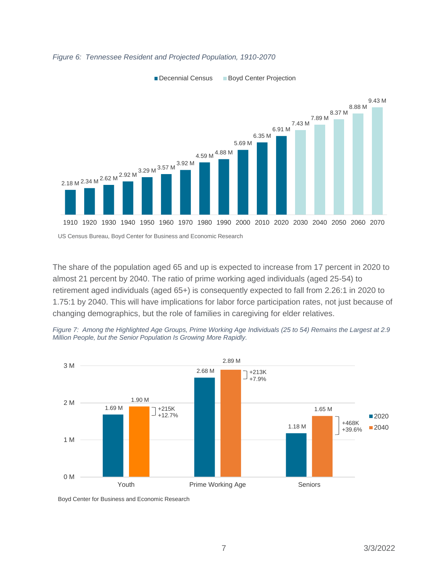

#### *Figure 6: Tennessee Resident and Projected Population, 1910-2070*

The share of the population aged 65 and up is expected to increase from 17 percent in 2020 to almost 21 percent by 2040. The ratio of prime working aged individuals (aged 25-54) to retirement aged individuals (aged 65+) is consequently expected to fall from 2.26:1 in 2020 to 1.75:1 by 2040. This will have implications for labor force participation rates, not just because of changing demographics, but the role of families in caregiving for elder relatives.





Boyd Center for Business and Economic Research